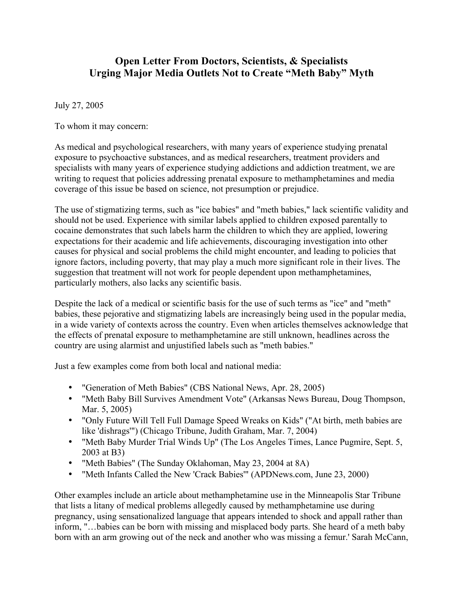## **Open Letter From Doctors, Scientists, & Specialists Urging Major Media Outlets Not to Create "Meth Baby" Myth**

July 27, 2005

To whom it may concern:

As medical and psychological researchers, with many years of experience studying prenatal exposure to psychoactive substances, and as medical researchers, treatment providers and specialists with many years of experience studying addictions and addiction treatment, we are writing to request that policies addressing prenatal exposure to methamphetamines and media coverage of this issue be based on science, not presumption or prejudice.

The use of stigmatizing terms, such as "ice babies" and "meth babies," lack scientific validity and should not be used. Experience with similar labels applied to children exposed parentally to cocaine demonstrates that such labels harm the children to which they are applied, lowering expectations for their academic and life achievements, discouraging investigation into other causes for physical and social problems the child might encounter, and leading to policies that ignore factors, including poverty, that may play a much more significant role in their lives. The suggestion that treatment will not work for people dependent upon methamphetamines, particularly mothers, also lacks any scientific basis.

Despite the lack of a medical or scientific basis for the use of such terms as "ice" and "meth" babies, these pejorative and stigmatizing labels are increasingly being used in the popular media, in a wide variety of contexts across the country. Even when articles themselves acknowledge that the effects of prenatal exposure to methamphetamine are still unknown, headlines across the country are using alarmist and unjustified labels such as "meth babies."

Just a few examples come from both local and national media:

- "Generation of Meth Babies" (CBS National News, Apr. 28, 2005)
- "Meth Baby Bill Survives Amendment Vote" (Arkansas News Bureau, Doug Thompson, Mar. 5, 2005)
- "Only Future Will Tell Full Damage Speed Wreaks on Kids" ("At birth, meth babies are like 'dishrags'") (Chicago Tribune, Judith Graham, Mar. 7, 2004)
- "Meth Baby Murder Trial Winds Up" (The Los Angeles Times, Lance Pugmire, Sept. 5, 2003 at B3)
- "Meth Babies" (The Sunday Oklahoman, May 23, 2004 at 8A)
- "Meth Infants Called the New 'Crack Babies'" (APDNews.com, June 23, 2000)

Other examples include an article about methamphetamine use in the Minneapolis Star Tribune that lists a litany of medical problems allegedly caused by methamphetamine use during pregnancy, using sensationalized language that appears intended to shock and appall rather than inform, "…babies can be born with missing and misplaced body parts. She heard of a meth baby born with an arm growing out of the neck and another who was missing a femur.' Sarah McCann,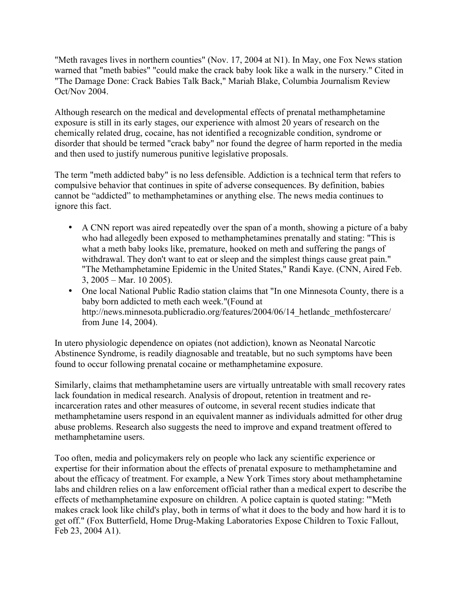"Meth ravages lives in northern counties" (Nov. 17, 2004 at N1). In May, one Fox News station warned that "meth babies" "could make the crack baby look like a walk in the nursery." Cited in "The Damage Done: Crack Babies Talk Back," Mariah Blake, Columbia Journalism Review Oct/Nov 2004.

Although research on the medical and developmental effects of prenatal methamphetamine exposure is still in its early stages, our experience with almost 20 years of research on the chemically related drug, cocaine, has not identified a recognizable condition, syndrome or disorder that should be termed "crack baby" nor found the degree of harm reported in the media and then used to justify numerous punitive legislative proposals.

The term "meth addicted baby" is no less defensible. Addiction is a technical term that refers to compulsive behavior that continues in spite of adverse consequences. By definition, babies cannot be "addicted" to methamphetamines or anything else. The news media continues to ignore this fact.

- A CNN report was aired repeatedly over the span of a month, showing a picture of a baby who had allegedly been exposed to methamphetamines prenatally and stating: "This is what a meth baby looks like, premature, hooked on meth and suffering the pangs of withdrawal. They don't want to eat or sleep and the simplest things cause great pain." "The Methamphetamine Epidemic in the United States," Randi Kaye. (CNN, Aired Feb. 3, 2005 – Mar. 10 2005).
- One local National Public Radio station claims that "In one Minnesota County, there is a baby born addicted to meth each week."(Found at http://news.minnesota.publicradio.org/features/2004/06/14\_hetlandc\_methfostercare/ from June 14, 2004).

In utero physiologic dependence on opiates (not addiction), known as Neonatal Narcotic Abstinence Syndrome, is readily diagnosable and treatable, but no such symptoms have been found to occur following prenatal cocaine or methamphetamine exposure.

Similarly, claims that methamphetamine users are virtually untreatable with small recovery rates lack foundation in medical research. Analysis of dropout, retention in treatment and reincarceration rates and other measures of outcome, in several recent studies indicate that methamphetamine users respond in an equivalent manner as individuals admitted for other drug abuse problems. Research also suggests the need to improve and expand treatment offered to methamphetamine users.

Too often, media and policymakers rely on people who lack any scientific experience or expertise for their information about the effects of prenatal exposure to methamphetamine and about the efficacy of treatment. For example, a New York Times story about methamphetamine labs and children relies on a law enforcement official rather than a medical expert to describe the effects of methamphetamine exposure on children. A police captain is quoted stating: '"Meth makes crack look like child's play, both in terms of what it does to the body and how hard it is to get off." (Fox Butterfield, Home Drug-Making Laboratories Expose Children to Toxic Fallout, Feb 23, 2004 A1).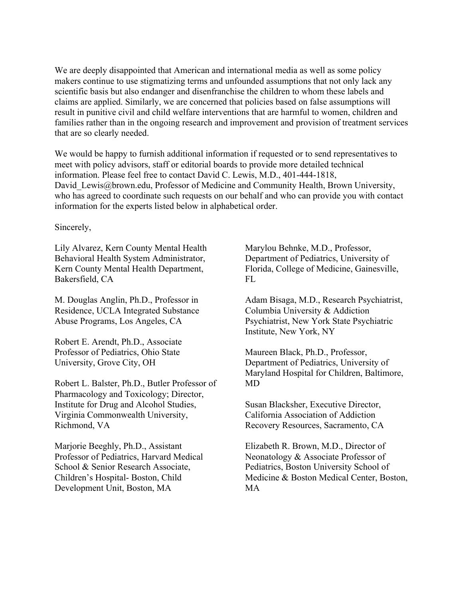We are deeply disappointed that American and international media as well as some policy makers continue to use stigmatizing terms and unfounded assumptions that not only lack any scientific basis but also endanger and disenfranchise the children to whom these labels and claims are applied. Similarly, we are concerned that policies based on false assumptions will result in punitive civil and child welfare interventions that are harmful to women, children and families rather than in the ongoing research and improvement and provision of treatment services that are so clearly needed.

We would be happy to furnish additional information if requested or to send representatives to meet with policy advisors, staff or editorial boards to provide more detailed technical information. Please feel free to contact David C. Lewis, M.D., 401-444-1818, David Lewis@brown.edu, Professor of Medicine and Community Health, Brown University, who has agreed to coordinate such requests on our behalf and who can provide you with contact information for the experts listed below in alphabetical order.

Sincerely,

Lily Alvarez, Kern County Mental Health Behavioral Health System Administrator, Kern County Mental Health Department, Bakersfield, CA

M. Douglas Anglin, Ph.D., Professor in Residence, UCLA Integrated Substance Abuse Programs, Los Angeles, CA

Robert E. Arendt, Ph.D., Associate Professor of Pediatrics, Ohio State University, Grove City, OH

Robert L. Balster, Ph.D., Butler Professor of Pharmacology and Toxicology; Director, Institute for Drug and Alcohol Studies, Virginia Commonwealth University, Richmond, VA

Marjorie Beeghly, Ph.D., Assistant Professor of Pediatrics, Harvard Medical School & Senior Research Associate, Children's Hospital- Boston, Child Development Unit, Boston, MA

Marylou Behnke, M.D., Professor, Department of Pediatrics, University of Florida, College of Medicine, Gainesville, FL

Adam Bisaga, M.D., Research Psychiatrist, Columbia University & Addiction Psychiatrist, New York State Psychiatric Institute, New York, NY

Maureen Black, Ph.D., Professor, Department of Pediatrics, University of Maryland Hospital for Children, Baltimore, MD

Susan Blacksher, Executive Director, California Association of Addiction Recovery Resources, Sacramento, CA

Elizabeth R. Brown, M.D., Director of Neonatology & Associate Professor of Pediatrics, Boston University School of Medicine & Boston Medical Center, Boston, MA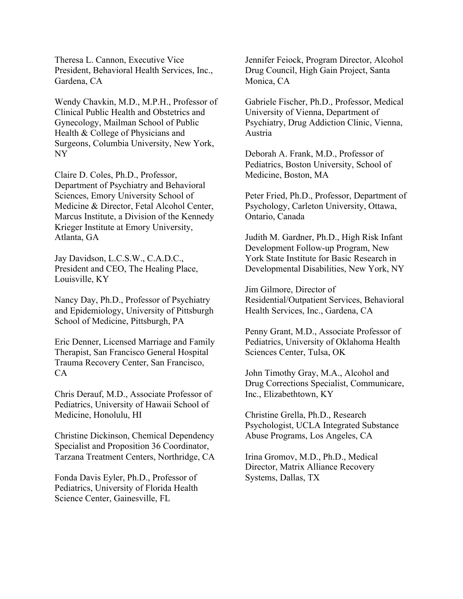Theresa L. Cannon, Executive Vice President, Behavioral Health Services, Inc., Gardena, CA

Wendy Chavkin, M.D., M.P.H., Professor of Clinical Public Health and Obstetrics and Gynecology, Mailman School of Public Health & College of Physicians and Surgeons, Columbia University, New York, NY

Claire D. Coles, Ph.D., Professor, Department of Psychiatry and Behavioral Sciences, Emory University School of Medicine & Director, Fetal Alcohol Center, Marcus Institute, a Division of the Kennedy Krieger Institute at Emory University, Atlanta, GA

Jay Davidson, L.C.S.W., C.A.D.C., President and CEO, The Healing Place, Louisville, KY

Nancy Day, Ph.D., Professor of Psychiatry and Epidemiology, University of Pittsburgh School of Medicine, Pittsburgh, PA

Eric Denner, Licensed Marriage and Family Therapist, San Francisco General Hospital Trauma Recovery Center, San Francisco, CA

Chris Derauf, M.D., Associate Professor of Pediatrics, University of Hawaii School of Medicine, Honolulu, HI

Christine Dickinson, Chemical Dependency Specialist and Proposition 36 Coordinator, Tarzana Treatment Centers, Northridge, CA

Fonda Davis Eyler, Ph.D., Professor of Pediatrics, University of Florida Health Science Center, Gainesville, FL

Jennifer Feiock, Program Director, Alcohol Drug Council, High Gain Project, Santa Monica, CA

Gabriele Fischer, Ph.D., Professor, Medical University of Vienna, Department of Psychiatry, Drug Addiction Clinic, Vienna, Austria

Deborah A. Frank, M.D., Professor of Pediatrics, Boston University, School of Medicine, Boston, MA

Peter Fried, Ph.D., Professor, Department of Psychology, Carleton University, Ottawa, Ontario, Canada

Judith M. Gardner, Ph.D., High Risk Infant Development Follow-up Program, New York State Institute for Basic Research in Developmental Disabilities, New York, NY

Jim Gilmore, Director of Residential/Outpatient Services, Behavioral Health Services, Inc., Gardena, CA

Penny Grant, M.D., Associate Professor of Pediatrics, University of Oklahoma Health Sciences Center, Tulsa, OK

John Timothy Gray, M.A., Alcohol and Drug Corrections Specialist, Communicare, Inc., Elizabethtown, KY

Christine Grella, Ph.D., Research Psychologist, UCLA Integrated Substance Abuse Programs, Los Angeles, CA

Irina Gromov, M.D., Ph.D., Medical Director, Matrix Alliance Recovery Systems, Dallas, TX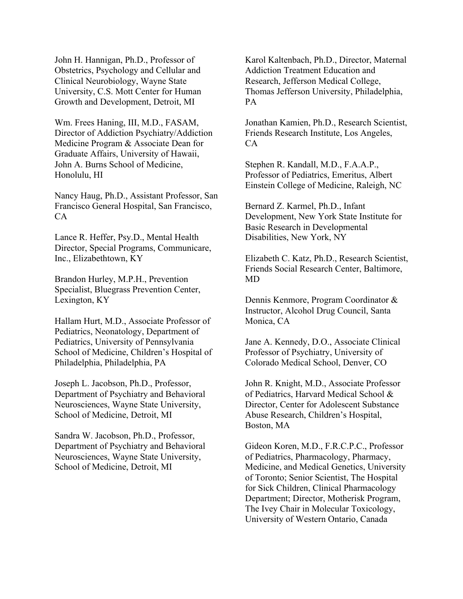John H. Hannigan, Ph.D., Professor of Obstetrics, Psychology and Cellular and Clinical Neurobiology, Wayne State University, C.S. Mott Center for Human Growth and Development, Detroit, MI

Wm. Frees Haning, III, M.D., FASAM, Director of Addiction Psychiatry/Addiction Medicine Program & Associate Dean for Graduate Affairs, University of Hawaii, John A. Burns School of Medicine, Honolulu, HI

Nancy Haug, Ph.D., Assistant Professor, San Francisco General Hospital, San Francisco, CA

Lance R. Heffer, Psy.D., Mental Health Director, Special Programs, Communicare, Inc., Elizabethtown, KY

Brandon Hurley, M.P.H., Prevention Specialist, Bluegrass Prevention Center, Lexington, KY

Hallam Hurt, M.D., Associate Professor of Pediatrics, Neonatology, Department of Pediatrics, University of Pennsylvania School of Medicine, Children's Hospital of Philadelphia, Philadelphia, PA

Joseph L. Jacobson, Ph.D., Professor, Department of Psychiatry and Behavioral Neurosciences, Wayne State University, School of Medicine, Detroit, MI

Sandra W. Jacobson, Ph.D., Professor, Department of Psychiatry and Behavioral Neurosciences, Wayne State University, School of Medicine, Detroit, MI

Karol Kaltenbach, Ph.D., Director, Maternal Addiction Treatment Education and Research, Jefferson Medical College, Thomas Jefferson University, Philadelphia, PA

Jonathan Kamien, Ph.D., Research Scientist, Friends Research Institute, Los Angeles, CA

Stephen R. Kandall, M.D., F.A.A.P., Professor of Pediatrics, Emeritus, Albert Einstein College of Medicine, Raleigh, NC

Bernard Z. Karmel, Ph.D., Infant Development, New York State Institute for Basic Research in Developmental Disabilities, New York, NY

Elizabeth C. Katz, Ph.D., Research Scientist, Friends Social Research Center, Baltimore, MD

Dennis Kenmore, Program Coordinator & Instructor, Alcohol Drug Council, Santa Monica, CA

Jane A. Kennedy, D.O., Associate Clinical Professor of Psychiatry, University of Colorado Medical School, Denver, CO

John R. Knight, M.D., Associate Professor of Pediatrics, Harvard Medical School & Director, Center for Adolescent Substance Abuse Research, Children's Hospital, Boston, MA

Gideon Koren, M.D., F.R.C.P.C., Professor of Pediatrics, Pharmacology, Pharmacy, Medicine, and Medical Genetics, University of Toronto; Senior Scientist, The Hospital for Sick Children, Clinical Pharmacology Department; Director, Motherisk Program, The Ivey Chair in Molecular Toxicology, University of Western Ontario, Canada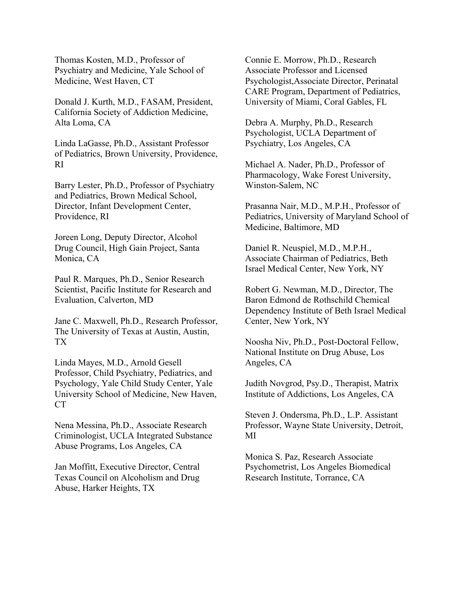Thomas Kosten, M.D., Professor of Psychiatry and Medicine, Yale School of Medicine, West Haven, CT

Donald J. Kurth, M.D., FASAM, President, California Society of Addiction Medicine, Alta Loma, CA

Linda LaGasse, Ph.D., Assistant Professor of Pediatrics, Brown University, Providence, RI

Barry Lester, Ph.D., Professor of Psychiatry and Pediatrics, Brown Medical School, Director, Infant Development Center, Providence, RI

Joreen Long, Deputy Director, Alcohol Drug Council, High Gain Project, Santa Monica, CA

Paul R. Marques, Ph.D., Senior Research Scientist, Pacific Institute for Research and Evaluation, Calverton, MD

Jane C. Maxwell, Ph.D., Research Professor, The University of Texas at Austin, Austin, TX

Linda Mayes, M.D., Arnold Gesell Professor, Child Psychiatry, Pediatrics, and Psychology, Yale Child Study Center, Yale University School of Medicine, New Haven, CT

Nena Messina, Ph.D., Associate Research Criminologist, UCLA Integrated Substance Abuse Programs, Los Angeles, CA

Jan Moffitt, Executive Director, Central Texas Council on Alcoholism and Drug Abuse, Harker Heights, TX

Connie E. Morrow, Ph.D., Research Associate Professor and Licensed Psychologist,Associate Director, Perinatal CARE Program, Department of Pediatrics, University of Miami, Coral Gables, FL

Debra A. Murphy, Ph.D., Research Psychologist, UCLA Department of Psychiatry, Los Angeles, CA

Michael A. Nader, Ph.D., Professor of Pharmacology, Wake Forest University, Winston-Salem, NC

Prasanna Nair, M.D., M.P.H., Professor of Pediatrics, University of Maryland School of Medicine, Baltimore, MD

Daniel R. Neuspiel, M.D., M.P.H., Associate Chairman of Pediatrics, Beth Israel Medical Center, New York, NY

Robert G. Newman, M.D., Director, The Baron Edmond de Rothschild Chemical Dependency Institute of Beth Israel Medical Center, New York, NY

Noosha Niv, Ph.D., Post-Doctoral Fellow, National Institute on Drug Abuse, Los Angeles, CA

Judith Novgrod, Psy.D., Therapist, Matrix Institute of Addictions, Los Angeles, CA

Steven J. Ondersma, Ph.D., L.P. Assistant Professor, Wayne State University, Detroit, MI

Monica S. Paz, Research Associate Psychometrist, Los Angeles Biomedical Research Institute, Torrance, CA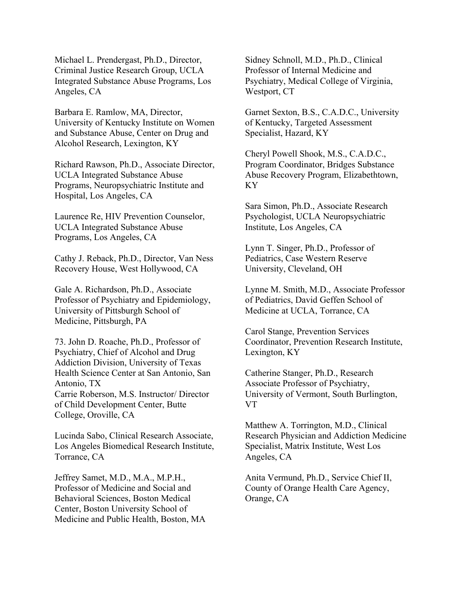Michael L. Prendergast, Ph.D., Director, Criminal Justice Research Group, UCLA Integrated Substance Abuse Programs, Los Angeles, CA

Barbara E. Ramlow, MA, Director, University of Kentucky Institute on Women and Substance Abuse, Center on Drug and Alcohol Research, Lexington, KY

Richard Rawson, Ph.D., Associate Director, UCLA Integrated Substance Abuse Programs, Neuropsychiatric Institute and Hospital, Los Angeles, CA

Laurence Re, HIV Prevention Counselor, UCLA Integrated Substance Abuse Programs, Los Angeles, CA

Cathy J. Reback, Ph.D., Director, Van Ness Recovery House, West Hollywood, CA

Gale A. Richardson, Ph.D., Associate Professor of Psychiatry and Epidemiology, University of Pittsburgh School of Medicine, Pittsburgh, PA

73. John D. Roache, Ph.D., Professor of Psychiatry, Chief of Alcohol and Drug Addiction Division, University of Texas Health Science Center at San Antonio, San Antonio, TX Carrie Roberson, M.S. Instructor/ Director of Child Development Center, Butte College, Oroville, CA

Lucinda Sabo, Clinical Research Associate, Los Angeles Biomedical Research Institute, Torrance, CA

Jeffrey Samet, M.D., M.A., M.P.H., Professor of Medicine and Social and Behavioral Sciences, Boston Medical Center, Boston University School of Medicine and Public Health, Boston, MA Sidney Schnoll, M.D., Ph.D., Clinical Professor of Internal Medicine and Psychiatry, Medical College of Virginia, Westport, CT

Garnet Sexton, B.S., C.A.D.C., University of Kentucky, Targeted Assessment Specialist, Hazard, KY

Cheryl Powell Shook, M.S., C.A.D.C., Program Coordinator, Bridges Substance Abuse Recovery Program, Elizabethtown, KY

Sara Simon, Ph.D., Associate Research Psychologist, UCLA Neuropsychiatric Institute, Los Angeles, CA

Lynn T. Singer, Ph.D., Professor of Pediatrics, Case Western Reserve University, Cleveland, OH

Lynne M. Smith, M.D., Associate Professor of Pediatrics, David Geffen School of Medicine at UCLA, Torrance, CA

Carol Stange, Prevention Services Coordinator, Prevention Research Institute, Lexington, KY

Catherine Stanger, Ph.D., Research Associate Professor of Psychiatry, University of Vermont, South Burlington, VT

Matthew A. Torrington, M.D., Clinical Research Physician and Addiction Medicine Specialist, Matrix Institute, West Los Angeles, CA

Anita Vermund, Ph.D., Service Chief II, County of Orange Health Care Agency, Orange, CA